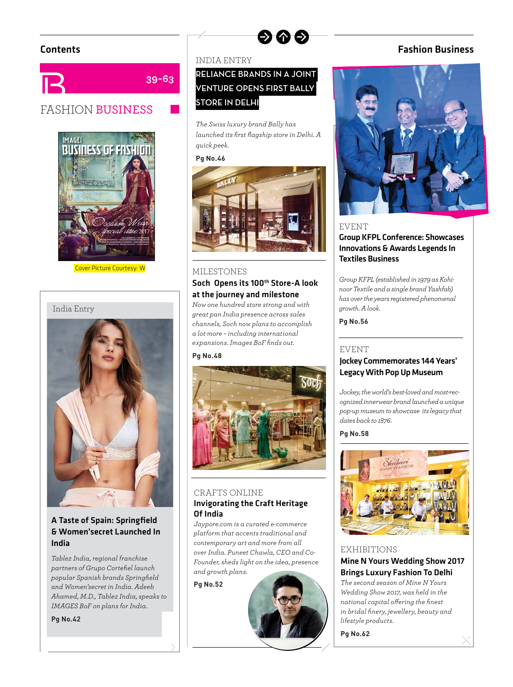



Cover Picture Courtesy: W





### A Taste of Spain: Springfield & Women'secret Launched In India

*Tablez India, regional franchise partners of Grupo Cortefi el launch popular Spanish brands Springfi eld and Women'secret in India. Adeeb Ahamed, M.D., Tablez India, speaks to IMAGES BoF on plans for India.*

**Pg No.42**

### INDIA ENTRY

**39-63**

### **RELIANCE BRANDS IN A JOINT VENTURE OPENS FIRST BALLY STORE IN DELHI**

ด ด ด

*The Swiss luxury brand Bally has launched its first flagship store in Delhi. A quick peek.*

#### **Pg No.46**



# MILESTONES Soch Opens its 100th Store-A look

at the journey and milestone *Now one hundred store strong and with great pan India presence across sales channels, Soch now plans to accomplish a lot more – including international expansions. Images BoF finds out.* 

#### **Pg No.48**



### CRAFTS ONLINE Invigorating the Craft Heritage Of India

*Jaypore.com is a curated e-commerce platform that accents traditional and contemporary art and more from all over India. Puneet Chawla, CEO and Co-Founder, sheds light on the idea, presence and growth plans.*

#### **Pg No.52**



### Contents Fashion Business



### EVENT

Group KFPL Conference: Showcases Innovations & Awards Legends In Textiles Business

*Group KFPL (established in 1979 as Kohinoor Textile and a single brand Yashfab) has over the years registered phenomenal growth. A look.*

**Pg No.56**

#### EVENT

### Jockey Commemorates 144 Years' Legacy With Pop Up Museum

*Jockey, the world's best-loved and most-recognized innerwear brand launched a unique pop-up museum to showcase its legacy that dates back to 1876.*

**Pg No.58**



#### EXHIBITIONS

Mine N Yours Wedding Show 2017 Brings Luxury Fashion To Delhi *The second season of Mine N Yours Wedding Show 2017, was held in the national capital off ering the fi nest in bridal fi nery, jewellery, beauty and lifestyle products.*

**Pg No.62**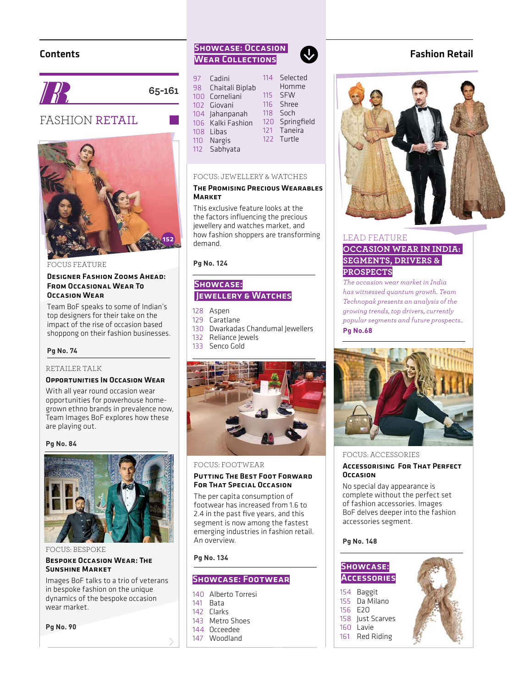### Contents



**65-161**

### FASHION RETAIL



FOCUS FEATURE

#### Designer Fashion Zooms Ahead: From Occasional Wear To Occasion Wear

Team BoF speaks to some of Indian's top designers for their take on the impact of the rise of occasion based shoppong on their fashion businesses.

#### **Pg No. 74**

#### RETAILER TALK

### Opportunities In Occasion Wear

With all year round occasion wear opportunities for powerhouse homegrown ethno brands in prevalence now, Team Images BoF explores how these are playing out.

#### **Pg No. 84**



FOCUS: BESPOKE

#### Bespoke Occasion Wear: The Sunshine Market

Images BoF talks to a trio of veterans in bespoke fashion on the unique dynamics of the bespoke occasion wear market.

**Pg No. 90**

### Showcase: Occasion WEAR COLLECTIONS

| 97               | Cadini            | 114 | Selected    |
|------------------|-------------------|-----|-------------|
| 98               | Chaitali Biplab   |     | Homme       |
| 100 <sub>1</sub> | Corneliani        | 115 | <b>SFW</b>  |
|                  | 102 Giovani       | 116 | Shree       |
|                  | 104 Jahanpanah    | 118 | Soch        |
|                  | 106 Kalki Fashion | 120 | Springfield |
|                  | 108 Libas         | 121 | Taneira     |
|                  | 110 Nargis        | 122 | Turtle      |
| $112 -$          | Sabhyata          |     |             |

 $\mathbf{U}$ 

#### FOCUS: JEWELLERY & WATCHES

#### The Promising Precious Wearables **MARKET**

This exclusive feature looks at the the factors influencing the precious jewellery and watches market, and how fashion shoppers are transforming demand.

**Pg No. 124**

### Showcase: Jewellery & Watches

- 128 Aspen
- 129 Caratlane
- 130 Dwarkadas Chandumal Jewellers
- 132 Reliance Jewels
- 133 Senco Gold



#### FOCUS: FOOTWEAR

#### Putting The Best Foot Forward FOR THAT SPECIAL OCCASION

The per capita consumption of footwear has increased from 1.6 to 2.4 in the past five years, and this segment is now among the fastest emerging industries in fashion retail. An overview.

**Pg No. 134**

### Showcase: Footwear

### 140 Alberto Torresi

- 141 Bata
- 142 Clarks
- 143 Metro Shoes
- 144 Occeedee
- 147 Woodland

### Fashion Retail



### LEAD FEATURE **OCCASION WEAR IN INDIA: SEGMENTS, DRIVERS & PROSPECTS**

*The occasion wear market in India has witnessed quantum growth. Team Technopak presents an analysis of the growing trends, top drivers, currently popular segments and future prospects..* **Pg No.68**



#### FOCUS: ACCESSORIES

#### Accessorising For That Perfect **OCCASION**

No special day appearance is complete without the perfect set of fashion accessories. Images BoF delves deeper into the fashion accessories segment.

#### **Pg No. 148**

### Showcase: **Accessories**

154 Baggit 155 Da Milano 156 E2O 158 Just Scarves 160 Lavie